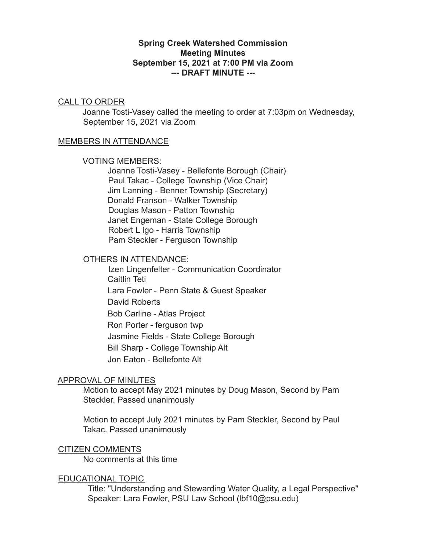## **Spring Creek Watershed Commission Meeting Minutes September 15, 2021 at 7:00 PM via Zoom --- DRAFT MINUTE ---**

### CALL TO ORDER

Joanne Tosti-Vasey called the meeting to order at 7:03pm on Wednesday, September 15, 2021 via Zoom

### MEMBERS IN ATTENDANCE

#### VOTING MEMBERS:

Joanne Tosti-Vasey - Bellefonte Borough (Chair) Paul Takac - College Township (Vice Chair) Jim Lanning - Benner Township (Secretary) Donald Franson - Walker Township Douglas Mason - Patton Township Janet Engeman - State College Borough Robert L Igo - Harris Township Pam Steckler - Ferguson Township

## OTHERS IN ATTENDANCE:

Izen Lingenfelter - Communication Coordinator Caitlin Teti Lara Fowler - Penn State & Guest Speaker David Roberts Bob Carline - Atlas Project Ron Porter - ferguson twp Jasmine Fields - State College Borough Bill Sharp - College Township Alt Jon Eaton - Bellefonte Alt

### APPROVAL OF MINUTES

Motion to accept May 2021 minutes by Doug Mason, Second by Pam Steckler. Passed unanimously

Motion to accept July 2021 minutes by Pam Steckler, Second by Paul Takac. Passed unanimously

### CITIZEN COMMENTS

No comments at this time

### EDUCATIONAL TOPIC

Title: "Understanding and Stewarding Water Quality, a Legal Perspective" Speaker: Lara Fowler, PSU Law School (lbf10@psu.edu)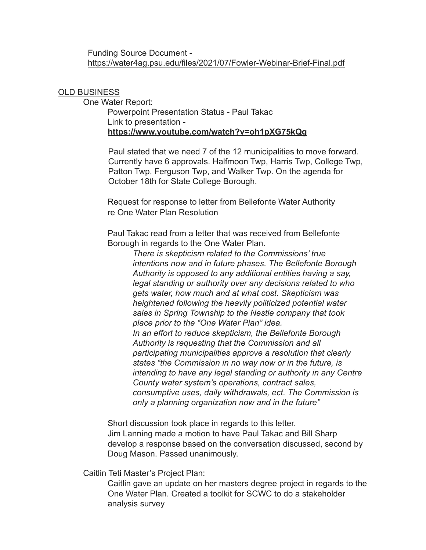### Funding Source Document <https://water4ag.psu.edu/files/2021/07/Fowler-Webinar-Brief-Final.pdf>

### OLD BUSINESS

One Water Report: Powerpoint Presentation Status - Paul Takac Link to presentation **<https://www.youtube.com/watch?v=oh1pXG75kQg>**

> Paul stated that we need 7 of the 12 municipalities to move forward. Currently have 6 approvals. Halfmoon Twp, Harris Twp, College Twp, Patton Twp, Ferguson Twp, and Walker Twp. On the agenda for October 18th for State College Borough.

Request for response to letter from Bellefonte Water Authority re One Water Plan Resolution

Paul Takac read from a letter that was received from Bellefonte Borough in regards to the One Water Plan.

> *There is skepticism related to the Commissions' true intentions now and in future phases. The Bellefonte Borough Authority is opposed to any additional entities having a say, legal standing or authority over any decisions related to who gets water, how much and at what cost. Skepticism was heightened following the heavily politicized potential water sales in Spring Township to the Nestle company that took place prior to the "One Water Plan" idea. In an effort to reduce skepticism, the Bellefonte Borough Authority is requesting that the Commission and all participating municipalities approve a resolution that clearly states "the Commission in no way now or in the future, is intending to have any legal standing or authority in any Centre County water system's operations, contract sales, consumptive uses, daily withdrawals, ect. The Commission is only a planning organization now and in the future"*

Short discussion took place in regards to this letter. Jim Lanning made a motion to have Paul Takac and Bill Sharp develop a response based on the conversation discussed, second by Doug Mason. Passed unanimously.

Caitlin Teti Master's Project Plan:

Caitlin gave an update on her masters degree project in regards to the One Water Plan. Created a toolkit for SCWC to do a stakeholder analysis survey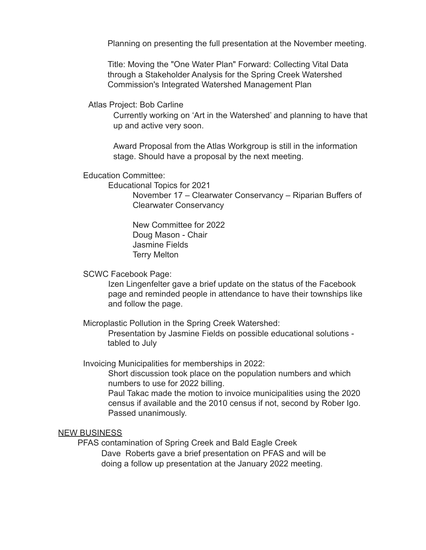Planning on presenting the full presentation at the November meeting.

Title: Moving the "One Water Plan" Forward: Collecting Vital Data through a Stakeholder Analysis for the Spring Creek Watershed Commission's Integrated Watershed Management Plan

Atlas Project: Bob Carline

Currently working on 'Art in the Watershed' and planning to have that up and active very soon.

Award Proposal from the Atlas Workgroup is still in the information stage. Should have a proposal by the next meeting.

Education Committee:

Educational Topics for 2021

November 17 – Clearwater Conservancy – Riparian Buffers of Clearwater Conservancy

New Committee for 2022 Doug Mason - Chair Jasmine Fields Terry Melton

SCWC Facebook Page:

Izen Lingenfelter gave a brief update on the status of the Facebook page and reminded people in attendance to have their townships like and follow the page.

Microplastic Pollution in the Spring Creek Watershed:

Presentation by Jasmine Fields on possible educational solutions tabled to July

Invoicing Municipalities for memberships in 2022:

Short discussion took place on the population numbers and which numbers to use for 2022 billing.

Paul Takac made the motion to invoice municipalities using the 2020 census if available and the 2010 census if not, second by Rober Igo. Passed unanimously.

## NEW BUSINESS

PFAS contamination of Spring Creek and Bald Eagle Creek Dave Roberts gave a brief presentation on PFAS and will be doing a follow up presentation at the January 2022 meeting.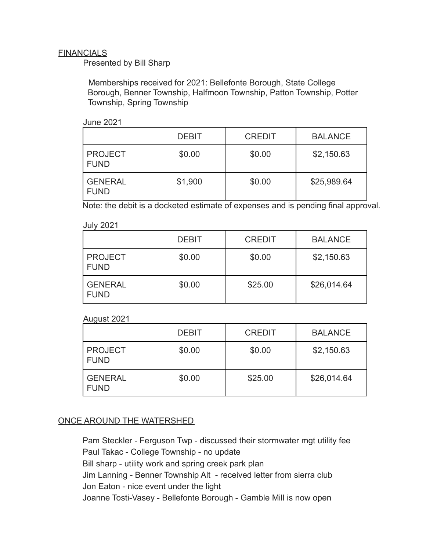# **FINANCIALS**

Presented by Bill Sharp

Memberships received for 2021: Bellefonte Borough, State College Borough, Benner Township, Halfmoon Township, Patton Township, Potter Township, Spring Township

|                               | <b>DEBIT</b> | <b>CREDIT</b> | <b>BALANCE</b> |
|-------------------------------|--------------|---------------|----------------|
| <b>PROJECT</b><br><b>FUND</b> | \$0.00       | \$0.00        | \$2,150.63     |
| l GENERAL<br><b>FUND</b>      | \$1,900      | \$0.00        | \$25,989.64    |

Note: the debit is a docketed estimate of expenses and is pending final approval.

#### July 2021

|                               | <b>DEBIT</b> | <b>CREDIT</b> | <b>BALANCE</b> |
|-------------------------------|--------------|---------------|----------------|
| <b>PROJECT</b><br><b>FUND</b> | \$0.00       | \$0.00        | \$2,150.63     |
| <b>GENERAL</b><br><b>FUND</b> | \$0.00       | \$25.00       | \$26,014.64    |

## August 2021

|                               | <b>DEBIT</b> | <b>CREDIT</b> | <b>BALANCE</b> |
|-------------------------------|--------------|---------------|----------------|
| <b>PROJECT</b><br><b>FUND</b> | \$0.00       | \$0.00        | \$2,150.63     |
| <b>GENERAL</b><br><b>FUND</b> | \$0.00       | \$25.00       | \$26,014.64    |

# ONCE AROUND THE WATERSHED

Pam Steckler - Ferguson Twp - discussed their stormwater mgt utility fee Paul Takac - College Township - no update Bill sharp - utility work and spring creek park plan Jim Lanning - Benner Township Alt - received letter from sierra club Jon Eaton - nice event under the light Joanne Tosti-Vasey - Bellefonte Borough - Gamble Mill is now open